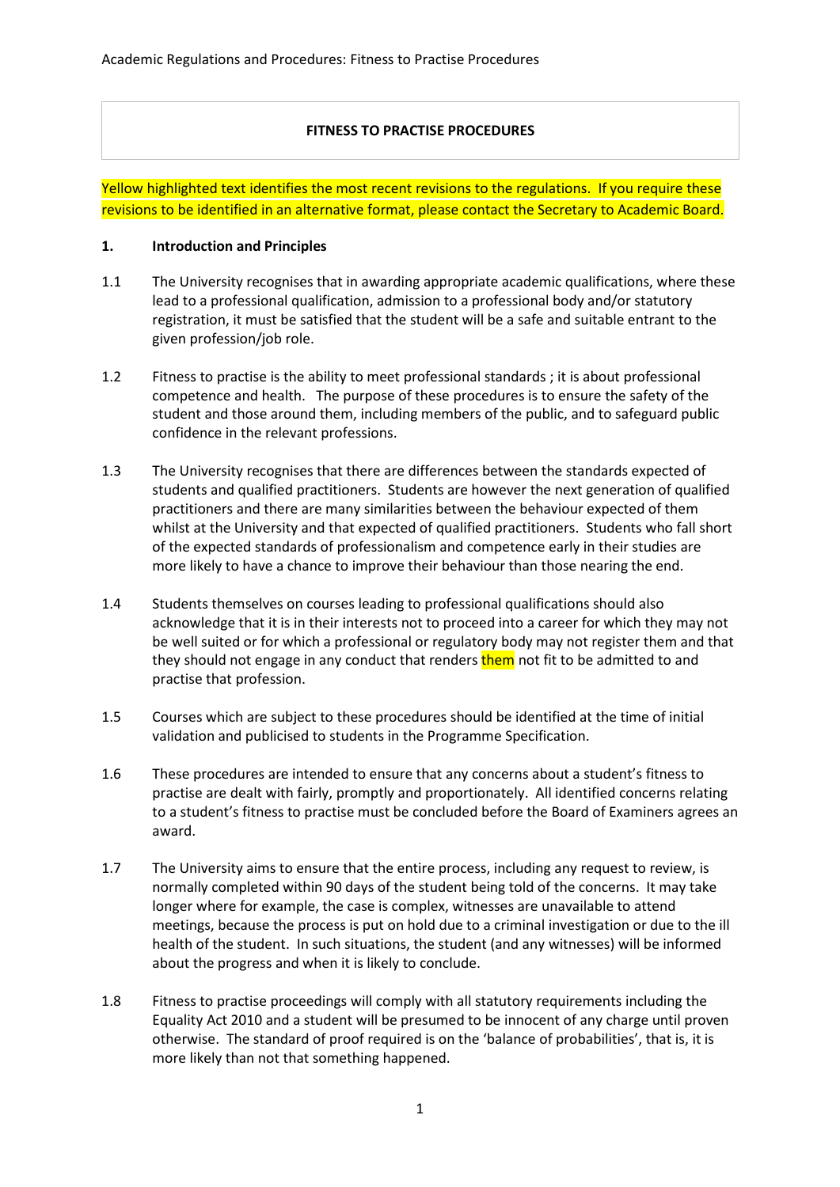## **FITNESS TO PRACTISE PROCEDURES**

Yellow highlighted text identifies the most recent revisions to the regulations. If you require these revisions to be identified in an alternative format, please contact the Secretary to Academic Board.

#### **1. Introduction and Principles**

- 1.1 The University recognises that in awarding appropriate academic qualifications, where these lead to a professional qualification, admission to a professional body and/or statutory registration, it must be satisfied that the student will be a safe and suitable entrant to the given profession/job role.
- 1.2 Fitness to practise is the ability to meet professional standards ; it is about professional competence and health. The purpose of these procedures is to ensure the safety of the student and those around them, including members of the public, and to safeguard public confidence in the relevant professions.
- 1.3 The University recognises that there are differences between the standards expected of students and qualified practitioners. Students are however the next generation of qualified practitioners and there are many similarities between the behaviour expected of them whilst at the University and that expected of qualified practitioners. Students who fall short of the expected standards of professionalism and competence early in their studies are more likely to have a chance to improve their behaviour than those nearing the end.
- 1.4 Students themselves on courses leading to professional qualifications should also acknowledge that it is in their interests not to proceed into a career for which they may not be well suited or for which a professional or regulatory body may not register them and that they should not engage in any conduct that renders them not fit to be admitted to and practise that profession.
- 1.5 Courses which are subject to these procedures should be identified at the time of initial validation and publicised to students in the Programme Specification.
- 1.6 These procedures are intended to ensure that any concerns about a student's fitness to practise are dealt with fairly, promptly and proportionately. All identified concerns relating to a student's fitness to practise must be concluded before the Board of Examiners agrees an award.
- 1.7 The University aims to ensure that the entire process, including any request to review, is normally completed within 90 days of the student being told of the concerns. It may take longer where for example, the case is complex, witnesses are unavailable to attend meetings, because the process is put on hold due to a criminal investigation or due to the ill health of the student. In such situations, the student (and any witnesses) will be informed about the progress and when it is likely to conclude.
- 1.8 Fitness to practise proceedings will comply with all statutory requirements including the Equality Act 2010 and a student will be presumed to be innocent of any charge until proven otherwise. The standard of proof required is on the 'balance of probabilities', that is, it is more likely than not that something happened.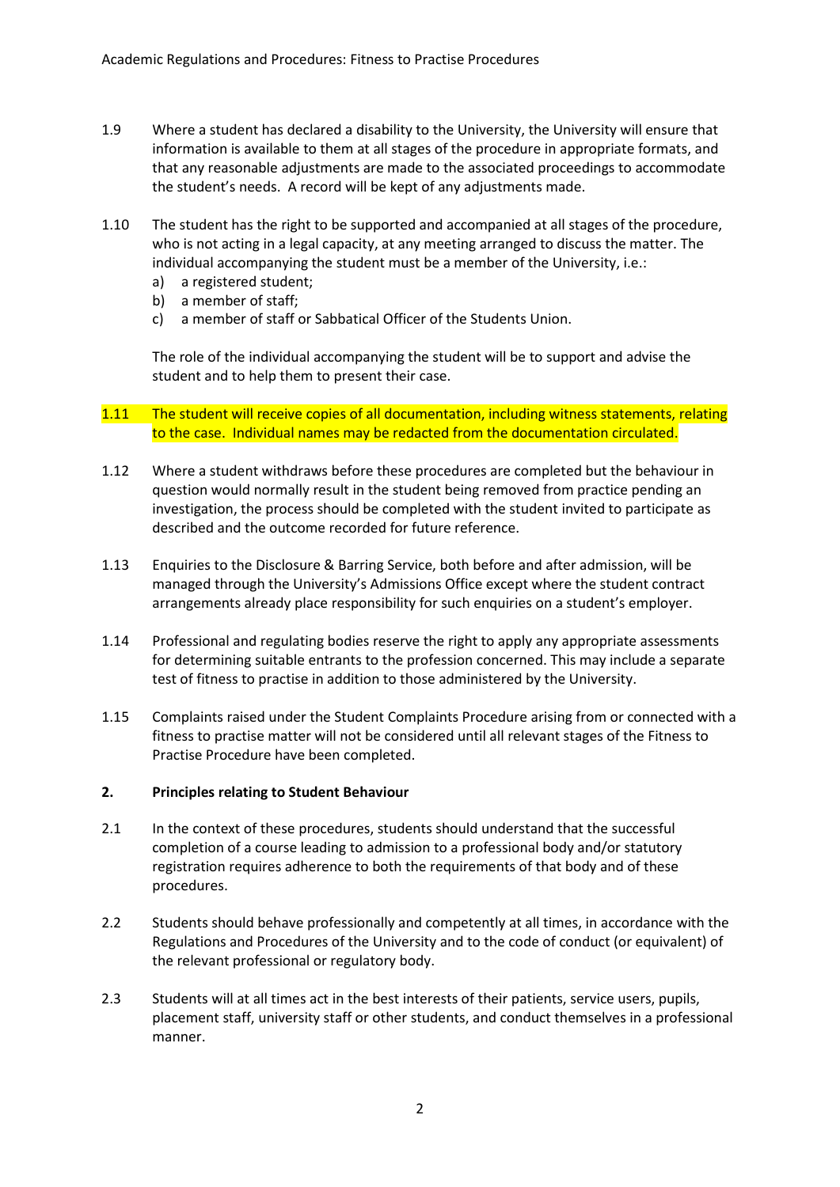- 1.9 Where a student has declared a disability to the University, the University will ensure that information is available to them at all stages of the procedure in appropriate formats, and that any reasonable adjustments are made to the associated proceedings to accommodate the student's needs. A record will be kept of any adjustments made.
- 1.10 The student has the right to be supported and accompanied at all stages of the procedure, who is not acting in a legal capacity, at any meeting arranged to discuss the matter. The individual accompanying the student must be a member of the University, i.e.:
	- a) a registered student;
	- b) a member of staff;
	- c) a member of staff or Sabbatical Officer of the Students Union.

The role of the individual accompanying the student will be to support and advise the student and to help them to present their case.

- 1.11 The student will receive copies of all documentation, including witness statements, relating to the case. Individual names may be redacted from the documentation circulated.
- 1.12 Where a student withdraws before these procedures are completed but the behaviour in question would normally result in the student being removed from practice pending an investigation, the process should be completed with the student invited to participate as described and the outcome recorded for future reference.
- 1.13 Enquiries to the Disclosure & Barring Service, both before and after admission, will be managed through the University's Admissions Office except where the student contract arrangements already place responsibility for such enquiries on a student's employer.
- 1.14 Professional and regulating bodies reserve the right to apply any appropriate assessments for determining suitable entrants to the profession concerned. This may include a separate test of fitness to practise in addition to those administered by the University.
- 1.15 Complaints raised under the Student Complaints Procedure arising from or connected with a fitness to practise matter will not be considered until all relevant stages of the Fitness to Practise Procedure have been completed.

### **2. Principles relating to Student Behaviour**

- 2.1 In the context of these procedures, students should understand that the successful completion of a course leading to admission to a professional body and/or statutory registration requires adherence to both the requirements of that body and of these procedures.
- 2.2 Students should behave professionally and competently at all times, in accordance with the Regulations and Procedures of the University and to the code of conduct (or equivalent) of the relevant professional or regulatory body.
- 2.3 Students will at all times act in the best interests of their patients, service users, pupils, placement staff, university staff or other students, and conduct themselves in a professional manner.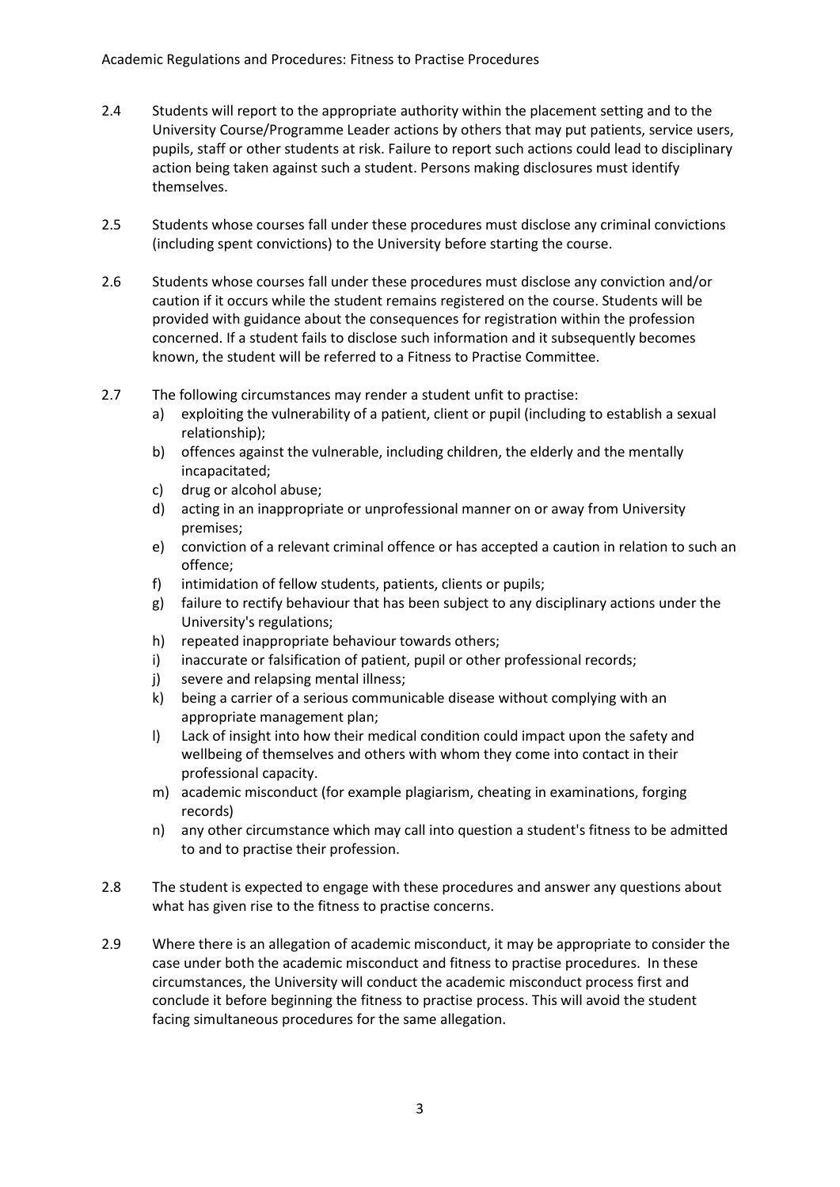- 2.4 Students will report to the appropriate authority within the placement setting and to the University Course/Programme Leader actions by others that may put patients, service users, pupils, staff or other students at risk. Failure to report such actions could lead to disciplinary action being taken against such a student. Persons making disclosures must identify themselves.
- 2.5 Students whose courses fall under these procedures must disclose any criminal convictions (including spent convictions) to the University before starting the course.
- 2.6 Students whose courses fall under these procedures must disclose any conviction and/or caution if it occurs while the student remains registered on the course. Students will be provided with guidance about the consequences for registration within the profession concerned. If a student fails to disclose such information and it subsequently becomes known, the student will be referred to a Fitness to Practise Committee.
- 2.7 The following circumstances may render a student unfit to practise:
	- a) exploiting the vulnerability of a patient, client or pupil (including to establish a sexual relationship);
	- b) offences against the vulnerable, including children, the elderly and the mentally incapacitated;
	- c) drug or alcohol abuse;
	- d) acting in an inappropriate or unprofessional manner on or away from University premises;
	- e) conviction of a relevant criminal offence or has accepted a caution in relation to such an offence;
	- f) intimidation of fellow students, patients, clients or pupils;
	- g) failure to rectify behaviour that has been subject to any disciplinary actions under the University's regulations;
	- h) repeated inappropriate behaviour towards others;
	- i) inaccurate or falsification of patient, pupil or other professional records;
	- j) severe and relapsing mental illness;
	- k) being a carrier of a serious communicable disease without complying with an appropriate management plan;
	- l) Lack of insight into how their medical condition could impact upon the safety and wellbeing of themselves and others with whom they come into contact in their professional capacity.
	- m) academic misconduct (for example plagiarism, cheating in examinations, forging records)
	- n) any other circumstance which may call into question a student's fitness to be admitted to and to practise their profession.
- 2.8 The student is expected to engage with these procedures and answer any questions about what has given rise to the fitness to practise concerns.
- 2.9 Where there is an allegation of academic misconduct, it may be appropriate to consider the case under both the academic misconduct and fitness to practise procedures. In these circumstances, the University will conduct the academic misconduct process first and conclude it before beginning the fitness to practise process. This will avoid the student facing simultaneous procedures for the same allegation.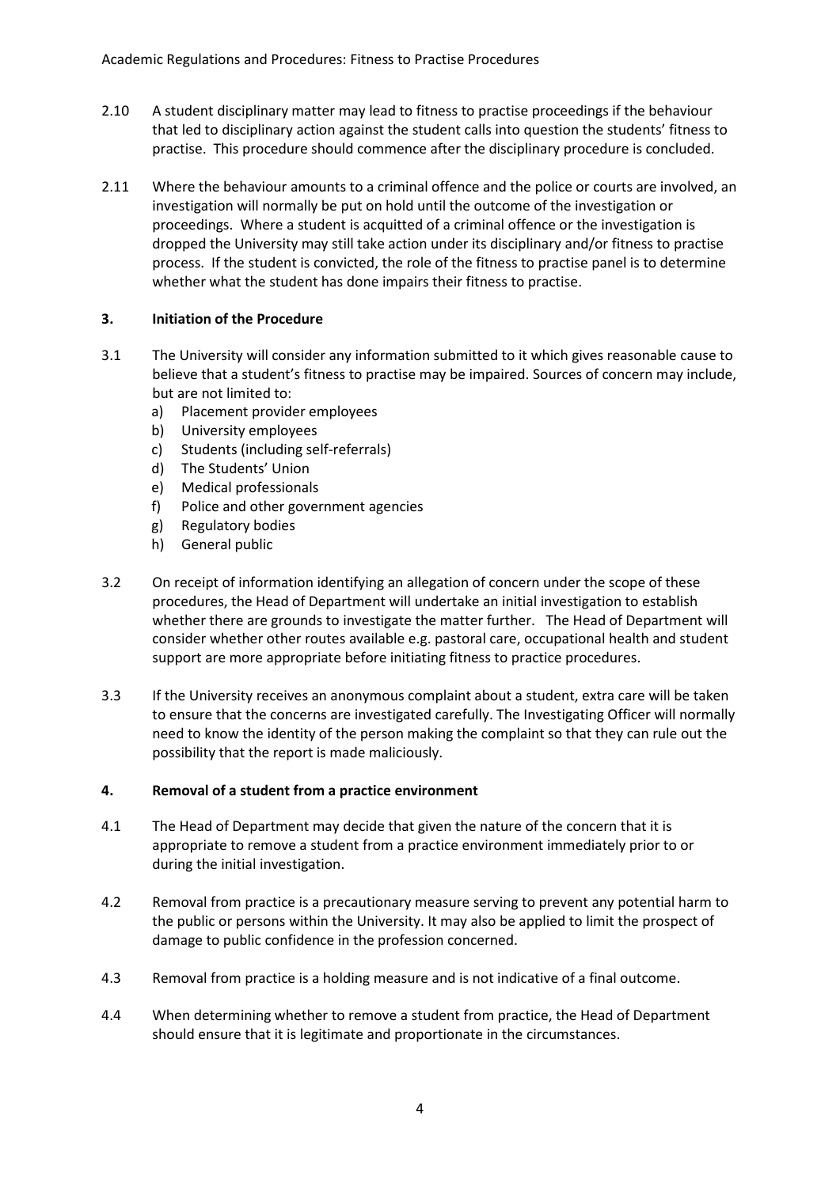- 2.10 A student disciplinary matter may lead to fitness to practise proceedings if the behaviour that led to disciplinary action against the student calls into question the students' fitness to practise. This procedure should commence after the disciplinary procedure is concluded.
- 2.11 Where the behaviour amounts to a criminal offence and the police or courts are involved, an investigation will normally be put on hold until the outcome of the investigation or proceedings. Where a student is acquitted of a criminal offence or the investigation is dropped the University may still take action under its disciplinary and/or fitness to practise process. If the student is convicted, the role of the fitness to practise panel is to determine whether what the student has done impairs their fitness to practise.

# **3. Initiation of the Procedure**

- 3.1 The University will consider any information submitted to it which gives reasonable cause to believe that a student's fitness to practise may be impaired. Sources of concern may include, but are not limited to:
	- a) Placement provider employees
	- b) University employees
	- c) Students (including self-referrals)
	- d) The Students' Union
	- e) Medical professionals
	- f) Police and other government agencies
	- g) Regulatory bodies
	- h) General public
- 3.2 On receipt of information identifying an allegation of concern under the scope of these procedures, the Head of Department will undertake an initial investigation to establish whether there are grounds to investigate the matter further. The Head of Department will consider whether other routes available e.g. pastoral care, occupational health and student support are more appropriate before initiating fitness to practice procedures.
- 3.3 If the University receives an anonymous complaint about a student, extra care will be taken to ensure that the concerns are investigated carefully. The Investigating Officer will normally need to know the identity of the person making the complaint so that they can rule out the possibility that the report is made maliciously.

# **4. Removal of a student from a practice environment**

- 4.1 The Head of Department may decide that given the nature of the concern that it is appropriate to remove a student from a practice environment immediately prior to or during the initial investigation.
- 4.2 Removal from practice is a precautionary measure serving to prevent any potential harm to the public or persons within the University. It may also be applied to limit the prospect of damage to public confidence in the profession concerned.
- 4.3 Removal from practice is a holding measure and is not indicative of a final outcome.
- 4.4 When determining whether to remove a student from practice, the Head of Department should ensure that it is legitimate and proportionate in the circumstances.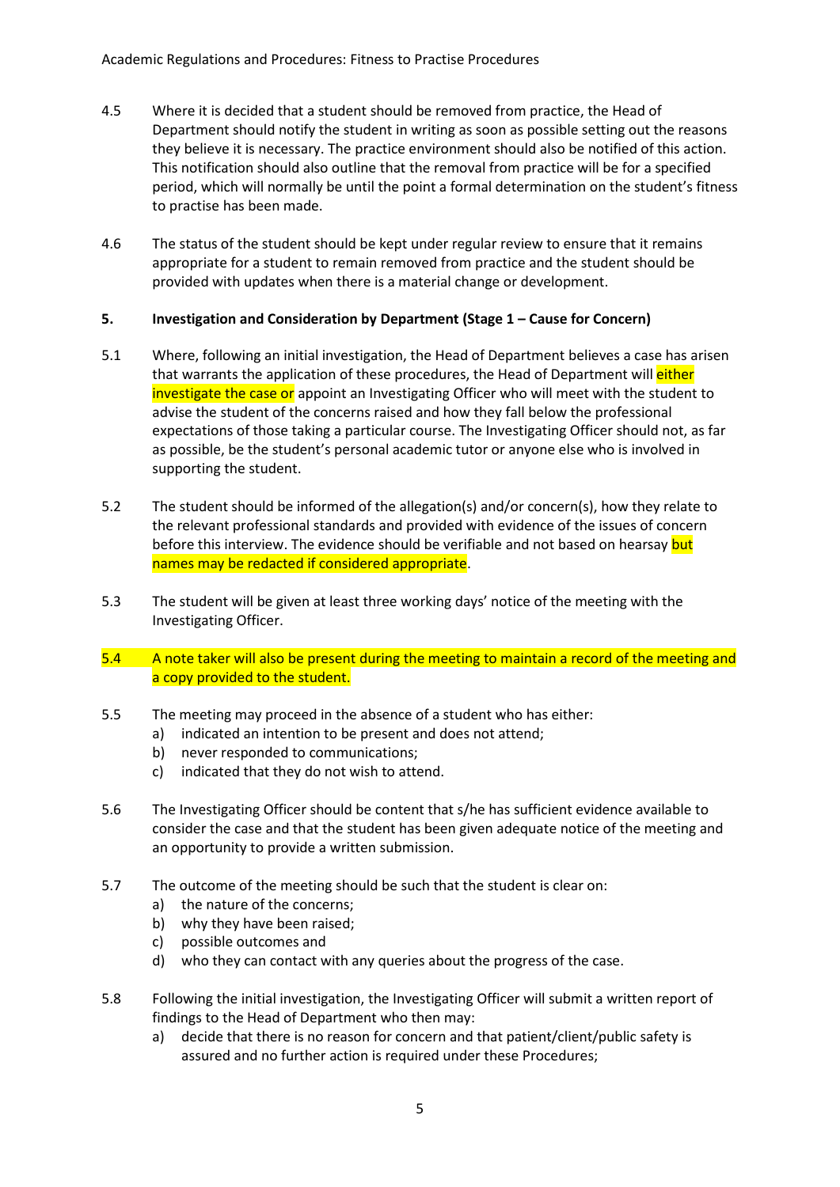- 4.5 Where it is decided that a student should be removed from practice, the Head of Department should notify the student in writing as soon as possible setting out the reasons they believe it is necessary. The practice environment should also be notified of this action. This notification should also outline that the removal from practice will be for a specified period, which will normally be until the point a formal determination on the student's fitness to practise has been made.
- 4.6 The status of the student should be kept under regular review to ensure that it remains appropriate for a student to remain removed from practice and the student should be provided with updates when there is a material change or development.

## **5. Investigation and Consideration by Department (Stage 1 – Cause for Concern)**

- 5.1 Where, following an initial investigation, the Head of Department believes a case has arisen that warrants the application of these procedures, the Head of Department will *either* investigate the case or appoint an Investigating Officer who will meet with the student to advise the student of the concerns raised and how they fall below the professional expectations of those taking a particular course. The Investigating Officer should not, as far as possible, be the student's personal academic tutor or anyone else who is involved in supporting the student.
- 5.2 The student should be informed of the allegation(s) and/or concern(s), how they relate to the relevant professional standards and provided with evidence of the issues of concern before this interview. The evidence should be verifiable and not based on hearsay but names may be redacted if considered appropriate.
- 5.3 The student will be given at least three working days' notice of the meeting with the Investigating Officer.
- 5.4 A note taker will also be present during the meeting to maintain a record of the meeting and a copy provided to the student.
- 5.5 The meeting may proceed in the absence of a student who has either:
	- a) indicated an intention to be present and does not attend;
	- b) never responded to communications;
	- c) indicated that they do not wish to attend.
- 5.6 The Investigating Officer should be content that s/he has sufficient evidence available to consider the case and that the student has been given adequate notice of the meeting and an opportunity to provide a written submission.
- 5.7 The outcome of the meeting should be such that the student is clear on:
	- a) the nature of the concerns;
	- b) why they have been raised;
	- c) possible outcomes and
	- d) who they can contact with any queries about the progress of the case.
- 5.8 Following the initial investigation, the Investigating Officer will submit a written report of findings to the Head of Department who then may:
	- a) decide that there is no reason for concern and that patient/client/public safety is assured and no further action is required under these Procedures;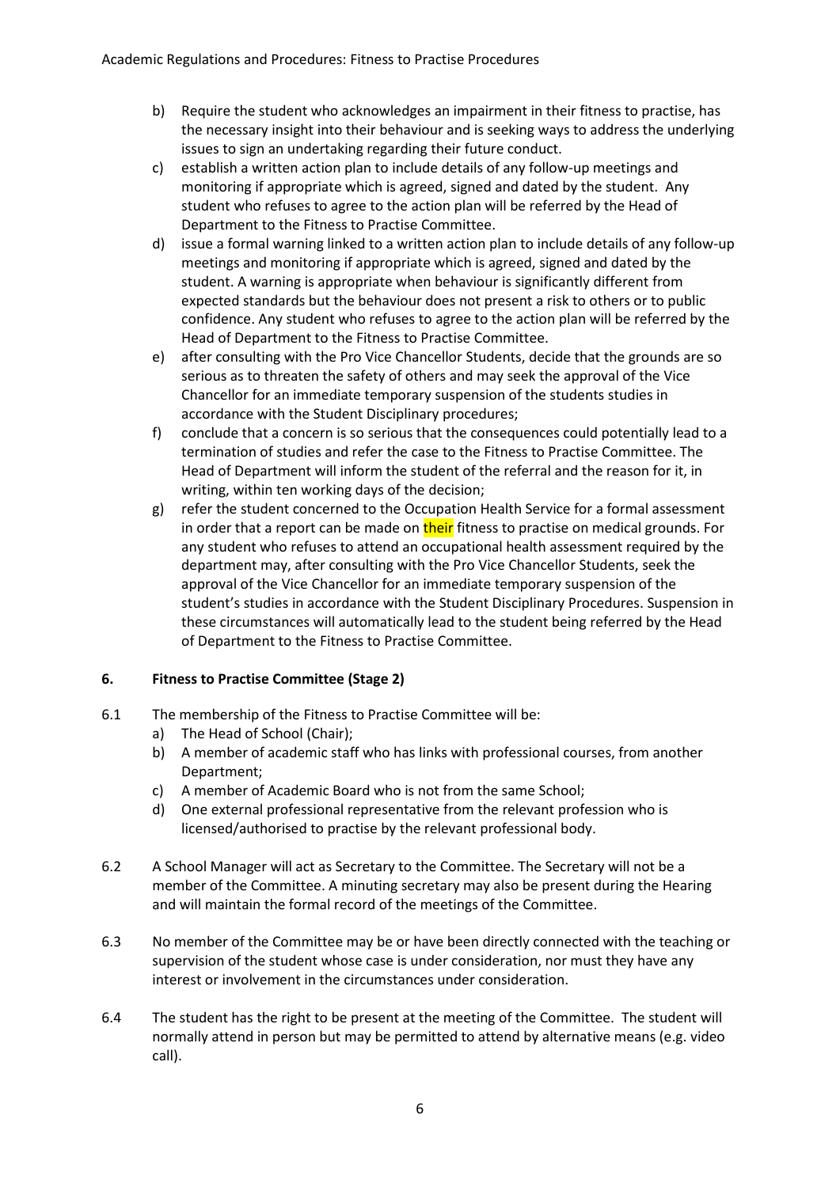- b) Require the student who acknowledges an impairment in their fitness to practise, has the necessary insight into their behaviour and is seeking ways to address the underlying issues to sign an undertaking regarding their future conduct.
- c) establish a written action plan to include details of any follow-up meetings and monitoring if appropriate which is agreed, signed and dated by the student. Any student who refuses to agree to the action plan will be referred by the Head of Department to the Fitness to Practise Committee.
- d) issue a formal warning linked to a written action plan to include details of any follow-up meetings and monitoring if appropriate which is agreed, signed and dated by the student. A warning is appropriate when behaviour is significantly different from expected standards but the behaviour does not present a risk to others or to public confidence. Any student who refuses to agree to the action plan will be referred by the Head of Department to the Fitness to Practise Committee.
- e) after consulting with the Pro Vice Chancellor Students, decide that the grounds are so serious as to threaten the safety of others and may seek the approval of the Vice Chancellor for an immediate temporary suspension of the students studies in accordance with the Student Disciplinary procedures;
- f) conclude that a concern is so serious that the consequences could potentially lead to a termination of studies and refer the case to the Fitness to Practise Committee. The Head of Department will inform the student of the referral and the reason for it, in writing, within ten working days of the decision;
- g) refer the student concerned to the Occupation Health Service for a formal assessment in order that a report can be made on their fitness to practise on medical grounds. For any student who refuses to attend an occupational health assessment required by the department may, after consulting with the Pro Vice Chancellor Students, seek the approval of the Vice Chancellor for an immediate temporary suspension of the student's studies in accordance with the Student Disciplinary Procedures. Suspension in these circumstances will automatically lead to the student being referred by the Head of Department to the Fitness to Practise Committee.

# **6. Fitness to Practise Committee (Stage 2)**

- 6.1 The membership of the Fitness to Practise Committee will be:
	- a) The Head of School (Chair);
	- b) A member of academic staff who has links with professional courses, from another Department;
	- c) A member of Academic Board who is not from the same School;
	- d) One external professional representative from the relevant profession who is licensed/authorised to practise by the relevant professional body.
- 6.2 A School Manager will act as Secretary to the Committee. The Secretary will not be a member of the Committee. A minuting secretary may also be present during the Hearing and will maintain the formal record of the meetings of the Committee.
- 6.3 No member of the Committee may be or have been directly connected with the teaching or supervision of the student whose case is under consideration, nor must they have any interest or involvement in the circumstances under consideration.
- 6.4 The student has the right to be present at the meeting of the Committee. The student will normally attend in person but may be permitted to attend by alternative means (e.g. video call).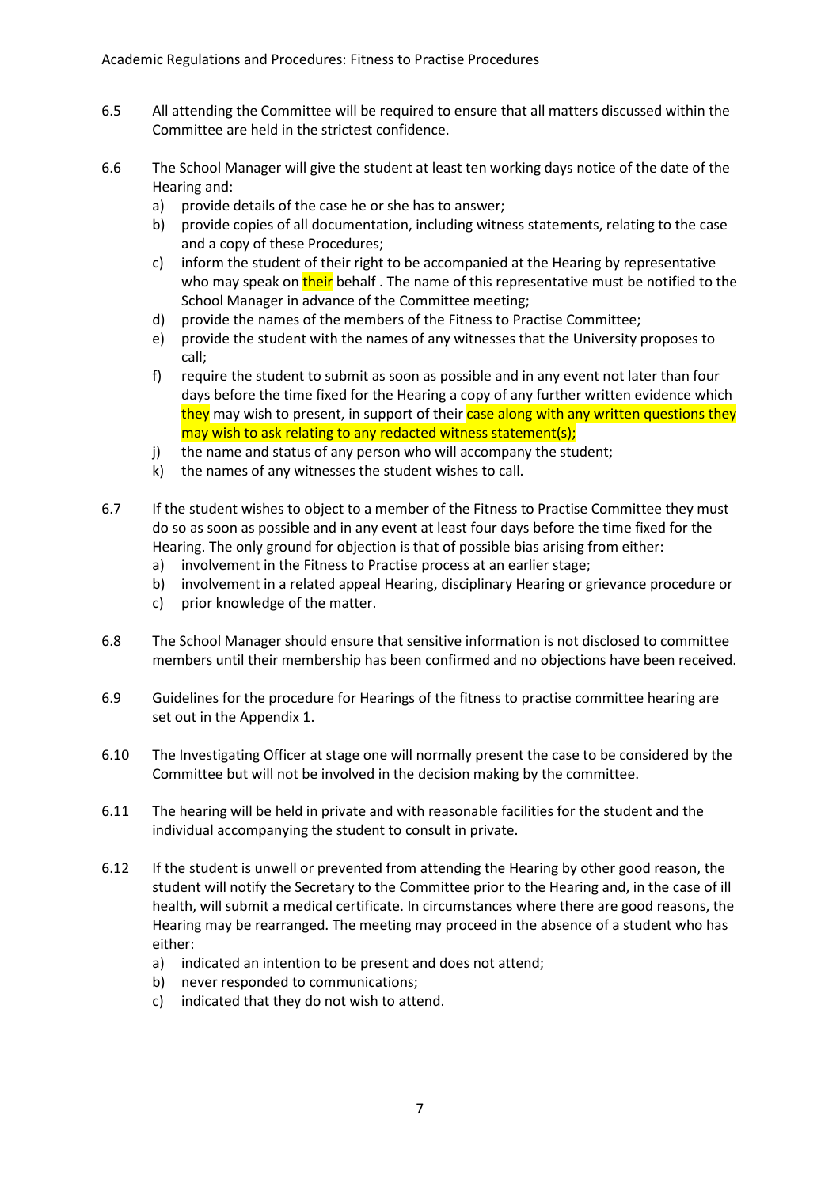- 6.5 All attending the Committee will be required to ensure that all matters discussed within the Committee are held in the strictest confidence.
- 6.6 The School Manager will give the student at least ten working days notice of the date of the Hearing and:
	- a) provide details of the case he or she has to answer;
	- b) provide copies of all documentation, including witness statements, relating to the case and a copy of these Procedures;
	- c) inform the student of their right to be accompanied at the Hearing by representative who may speak on their behalf. The name of this representative must be notified to the School Manager in advance of the Committee meeting;
	- d) provide the names of the members of the Fitness to Practise Committee;
	- e) provide the student with the names of any witnesses that the University proposes to call;
	- f) require the student to submit as soon as possible and in any event not later than four days before the time fixed for the Hearing a copy of any further written evidence which they may wish to present, in support of their case along with any written questions they may wish to ask relating to any redacted witness statement(s);
	- j) the name and status of any person who will accompany the student;
	- k) the names of any witnesses the student wishes to call.
- 6.7 If the student wishes to object to a member of the Fitness to Practise Committee they must do so as soon as possible and in any event at least four days before the time fixed for the Hearing. The only ground for objection is that of possible bias arising from either:
	- a) involvement in the Fitness to Practise process at an earlier stage;
	- b) involvement in a related appeal Hearing, disciplinary Hearing or grievance procedure or
	- c) prior knowledge of the matter.
- 6.8 The School Manager should ensure that sensitive information is not disclosed to committee members until their membership has been confirmed and no objections have been received.
- 6.9 Guidelines for the procedure for Hearings of the fitness to practise committee hearing are set out in the Appendix 1.
- 6.10 The Investigating Officer at stage one will normally present the case to be considered by the Committee but will not be involved in the decision making by the committee.
- 6.11 The hearing will be held in private and with reasonable facilities for the student and the individual accompanying the student to consult in private.
- 6.12 If the student is unwell or prevented from attending the Hearing by other good reason, the student will notify the Secretary to the Committee prior to the Hearing and, in the case of ill health, will submit a medical certificate. In circumstances where there are good reasons, the Hearing may be rearranged. The meeting may proceed in the absence of a student who has either:
	- a) indicated an intention to be present and does not attend;
	- b) never responded to communications;
	- c) indicated that they do not wish to attend.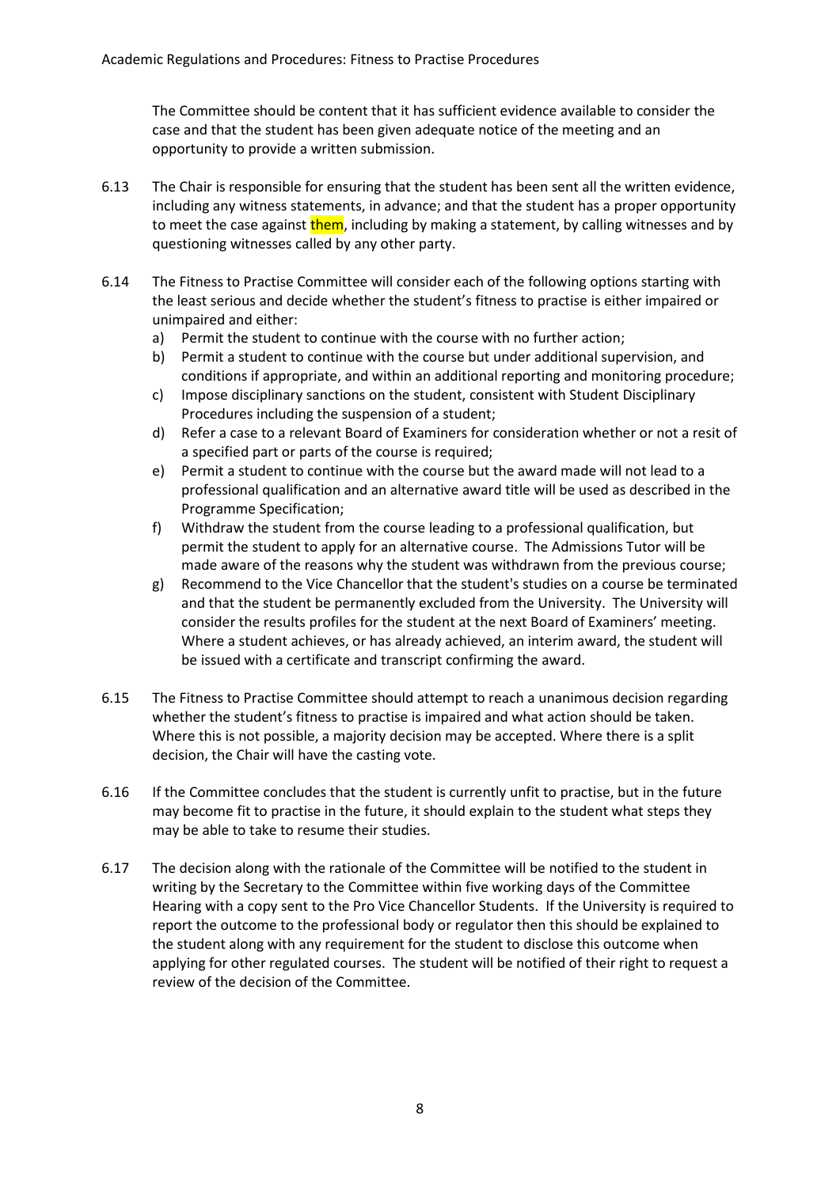The Committee should be content that it has sufficient evidence available to consider the case and that the student has been given adequate notice of the meeting and an opportunity to provide a written submission.

- 6.13 The Chair is responsible for ensuring that the student has been sent all the written evidence, including any witness statements, in advance; and that the student has a proper opportunity to meet the case against them, including by making a statement, by calling witnesses and by questioning witnesses called by any other party.
- 6.14 The Fitness to Practise Committee will consider each of the following options starting with the least serious and decide whether the student's fitness to practise is either impaired or unimpaired and either:
	- a) Permit the student to continue with the course with no further action;
	- b) Permit a student to continue with the course but under additional supervision, and conditions if appropriate, and within an additional reporting and monitoring procedure;
	- c) Impose disciplinary sanctions on the student, consistent with Student Disciplinary Procedures including the suspension of a student;
	- d) Refer a case to a relevant Board of Examiners for consideration whether or not a resit of a specified part or parts of the course is required;
	- e) Permit a student to continue with the course but the award made will not lead to a professional qualification and an alternative award title will be used as described in the Programme Specification;
	- f) Withdraw the student from the course leading to a professional qualification, but permit the student to apply for an alternative course. The Admissions Tutor will be made aware of the reasons why the student was withdrawn from the previous course;
	- g) Recommend to the Vice Chancellor that the student's studies on a course be terminated and that the student be permanently excluded from the University. The University will consider the results profiles for the student at the next Board of Examiners' meeting. Where a student achieves, or has already achieved, an interim award, the student will be issued with a certificate and transcript confirming the award.
- 6.15 The Fitness to Practise Committee should attempt to reach a unanimous decision regarding whether the student's fitness to practise is impaired and what action should be taken. Where this is not possible, a majority decision may be accepted. Where there is a split decision, the Chair will have the casting vote.
- 6.16 If the Committee concludes that the student is currently unfit to practise, but in the future may become fit to practise in the future, it should explain to the student what steps they may be able to take to resume their studies.
- 6.17 The decision along with the rationale of the Committee will be notified to the student in writing by the Secretary to the Committee within five working days of the Committee Hearing with a copy sent to the Pro Vice Chancellor Students. If the University is required to report the outcome to the professional body or regulator then this should be explained to the student along with any requirement for the student to disclose this outcome when applying for other regulated courses. The student will be notified of their right to request a review of the decision of the Committee.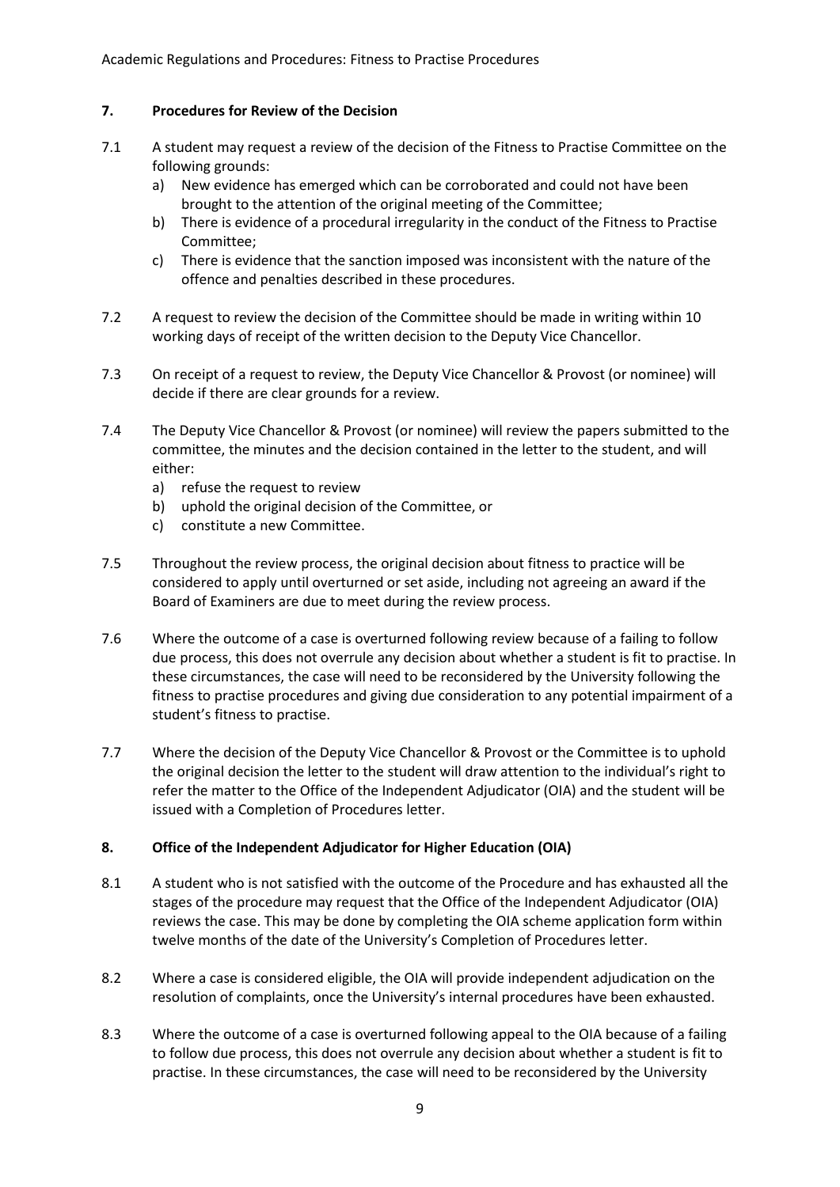Academic Regulations and Procedures: Fitness to Practise Procedures

### **7. Procedures for Review of the Decision**

- 7.1 A student may request a review of the decision of the Fitness to Practise Committee on the following grounds:
	- a) New evidence has emerged which can be corroborated and could not have been brought to the attention of the original meeting of the Committee;
	- b) There is evidence of a procedural irregularity in the conduct of the Fitness to Practise Committee;
	- c) There is evidence that the sanction imposed was inconsistent with the nature of the offence and penalties described in these procedures.
- 7.2 A request to review the decision of the Committee should be made in writing within 10 working days of receipt of the written decision to the Deputy Vice Chancellor.
- 7.3 On receipt of a request to review, the Deputy Vice Chancellor & Provost (or nominee) will decide if there are clear grounds for a review.
- 7.4 The Deputy Vice Chancellor & Provost (or nominee) will review the papers submitted to the committee, the minutes and the decision contained in the letter to the student, and will either:
	- a) refuse the request to review
	- b) uphold the original decision of the Committee, or
	- c) constitute a new Committee.
- 7.5 Throughout the review process, the original decision about fitness to practice will be considered to apply until overturned or set aside, including not agreeing an award if the Board of Examiners are due to meet during the review process.
- 7.6 Where the outcome of a case is overturned following review because of a failing to follow due process, this does not overrule any decision about whether a student is fit to practise. In these circumstances, the case will need to be reconsidered by the University following the fitness to practise procedures and giving due consideration to any potential impairment of a student's fitness to practise.
- 7.7 Where the decision of the Deputy Vice Chancellor & Provost or the Committee is to uphold the original decision the letter to the student will draw attention to the individual's right to refer the matter to the Office of the Independent Adjudicator (OIA) and the student will be issued with a Completion of Procedures letter.

### **8. Office of the Independent Adjudicator for Higher Education (OIA)**

- 8.1 A student who is not satisfied with the outcome of the Procedure and has exhausted all the stages of the procedure may request that the Office of the Independent Adjudicator (OIA) reviews the case. This may be done by completing the OIA scheme application form within twelve months of the date of the University's Completion of Procedures letter.
- 8.2 Where a case is considered eligible, the OIA will provide independent adjudication on the resolution of complaints, once the University's internal procedures have been exhausted.
- 8.3 Where the outcome of a case is overturned following appeal to the OIA because of a failing to follow due process, this does not overrule any decision about whether a student is fit to practise. In these circumstances, the case will need to be reconsidered by the University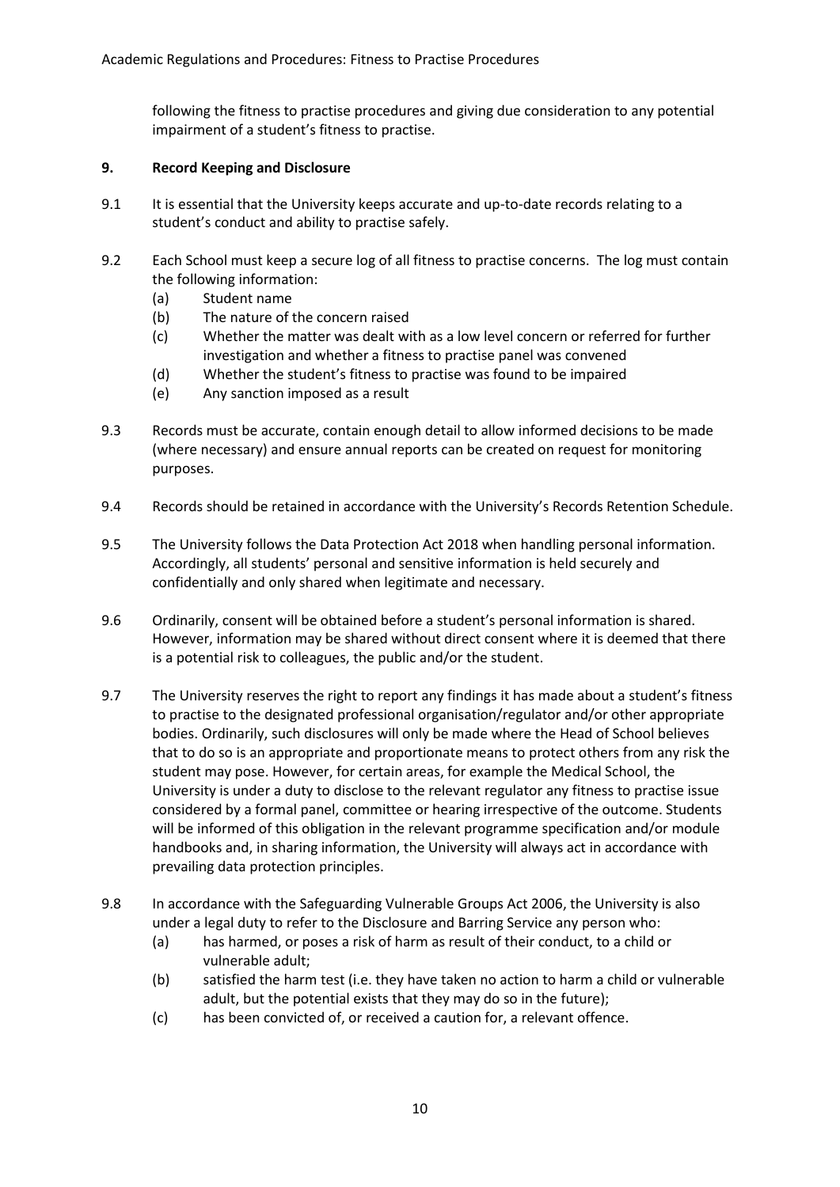following the fitness to practise procedures and giving due consideration to any potential impairment of a student's fitness to practise.

# **9. Record Keeping and Disclosure**

- 9.1 It is essential that the University keeps accurate and up-to-date records relating to a student's conduct and ability to practise safely.
- 9.2 Each School must keep a secure log of all fitness to practise concerns. The log must contain the following information:
	- (a) Student name
	- (b) The nature of the concern raised
	- (c) Whether the matter was dealt with as a low level concern or referred for further investigation and whether a fitness to practise panel was convened
	- (d) Whether the student's fitness to practise was found to be impaired
	- (e) Any sanction imposed as a result
- 9.3 Records must be accurate, contain enough detail to allow informed decisions to be made (where necessary) and ensure annual reports can be created on request for monitoring purposes.
- 9.4 Records should be retained in accordance with the University's Records Retention Schedule.
- 9.5 The University follows the Data Protection Act 2018 when handling personal information. Accordingly, all students' personal and sensitive information is held securely and confidentially and only shared when legitimate and necessary.
- 9.6 Ordinarily, consent will be obtained before a student's personal information is shared. However, information may be shared without direct consent where it is deemed that there is a potential risk to colleagues, the public and/or the student.
- 9.7 The University reserves the right to report any findings it has made about a student's fitness to practise to the designated professional organisation/regulator and/or other appropriate bodies. Ordinarily, such disclosures will only be made where the Head of School believes that to do so is an appropriate and proportionate means to protect others from any risk the student may pose. However, for certain areas, for example the Medical School, the University is under a duty to disclose to the relevant regulator any fitness to practise issue considered by a formal panel, committee or hearing irrespective of the outcome. Students will be informed of this obligation in the relevant programme specification and/or module handbooks and, in sharing information, the University will always act in accordance with prevailing data protection principles.
- 9.8 In accordance with the Safeguarding Vulnerable Groups Act 2006, the University is also under a legal duty to refer to the Disclosure and Barring Service any person who:
	- (a) has harmed, or poses a risk of harm as result of their conduct, to a child or vulnerable adult;
	- (b) satisfied the harm test (i.e. they have taken no action to harm a child or vulnerable adult, but the potential exists that they may do so in the future);
	- (c) has been convicted of, or received a caution for, a relevant offence.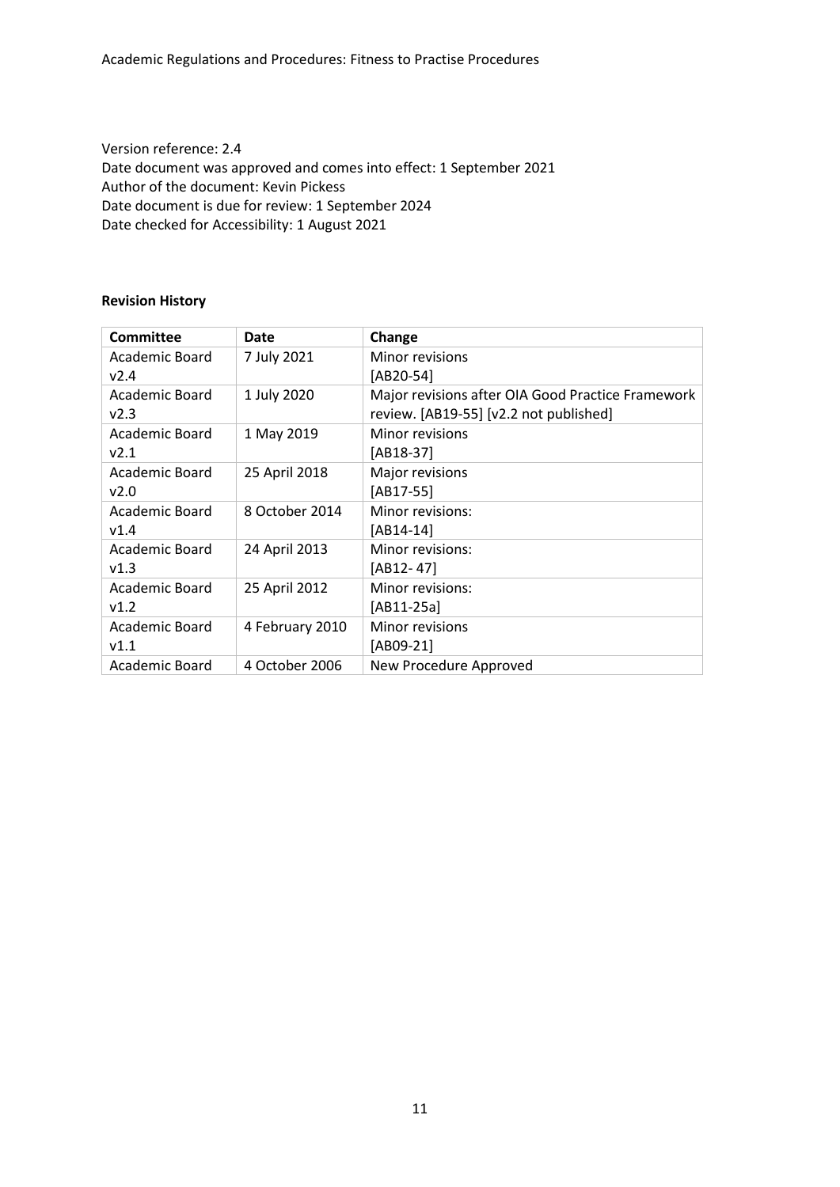Version reference: 2.4 Date document was approved and comes into effect: 1 September 2021 Author of the document: Kevin Pickess Date document is due for review: 1 September 2024 Date checked for Accessibility: 1 August 2021

## **Revision History**

| <b>Committee</b> | Date            | Change                                            |
|------------------|-----------------|---------------------------------------------------|
| Academic Board   | 7 July 2021     | Minor revisions                                   |
| v2.4             |                 | [AB20-54]                                         |
| Academic Board   | 1 July 2020     | Major revisions after OIA Good Practice Framework |
| v2.3             |                 | review. [AB19-55] [v2.2 not published]            |
| Academic Board   | 1 May 2019      | Minor revisions                                   |
| v2.1             |                 | [AB18-37]                                         |
| Academic Board   | 25 April 2018   | Major revisions                                   |
| v2.0             |                 | $[AB17-55]$                                       |
| Academic Board   | 8 October 2014  | Minor revisions:                                  |
| v1.4             |                 | [AB14-14]                                         |
| Academic Board   | 24 April 2013   | Minor revisions:                                  |
| v1.3             |                 | $[AB12-47]$                                       |
| Academic Board   | 25 April 2012   | Minor revisions:                                  |
| v1.2             |                 | [AB11-25a]                                        |
| Academic Board   | 4 February 2010 | Minor revisions                                   |
| V1.1             |                 | [AB09-21]                                         |
| Academic Board   | 4 October 2006  | New Procedure Approved                            |